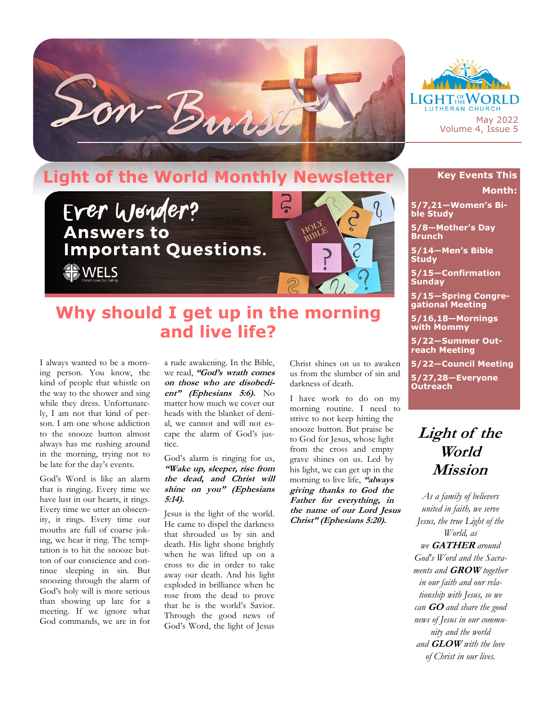



## **Light of the World Monthly Newsletter**



## **Why should I get up in the morning and live life?**

I always wanted to be a morning person. You know, the kind of people that whistle on the way to the shower and sing while they dress. Unfortunately, I am not that kind of person. I am one whose addiction to the snooze button almost always has me rushing around in the morning, trying not to be late for the day's events.

God's Word is like an alarm that is ringing. Every time we have lust in our hearts, it rings. Every time we utter an obscenity, it rings. Every time our mouths are full of coarse joking, we hear it ring. The temptation is to hit the snooze button of our conscience and continue sleeping in sin. But snoozing through the alarm of God's holy will is more serious than showing up late for a meeting. If we ignore what God commands, we are in for

a rude awakening. In the Bible, we read, **"God's wrath comes on those who are disobedient" (Ephesians 5:6).** No matter how much we cover our heads with the blanket of denial, we cannot and will not escape the alarm of God's justice.

God's alarm is ringing for us, **"Wake up, sleeper, rise from the dead, and Christ will shine on you" (Ephesians 5:14).**

Jesus is the light of the world. He came to dispel the darkness that shrouded us by sin and death. His light shone brightly when he was lifted up on a cross to die in order to take away our death. And his light exploded in brilliance when he rose from the dead to prove that he is the world's Savior. Through the good news of God's Word, the light of Jesus

Christ shines on us to awaken us from the slumber of sin and darkness of death.

I have work to do on my morning routine. I need to strive to not keep hitting the snooze button. But praise be to God for Jesus, whose light from the cross and empty grave shines on us. Led by his light, we can get up in the morning to live life, **"always giving thanks to God the Father for everything, in the name of our Lord Jesus Christ" (Ephesians 5:20).**

## **Key Events This Month:**

**5/7,21—Women's Bible Study**

**5/8—Mother's Day Brunch**

**5/14—Men's Bible Study**

**5/15—Confirmation Sunday**

**5/15—Spring Congregational Meeting**

**5/16,18—Mornings with Mommy**

**5/22—Summer Outreach Meeting**

**5/22—Council Meeting**

**5/27,28—Everyone Outreach**

## **Light of the World Mission**

*As a family of believers united in faith, we serve Jesus, the true Light of the World, as we* **GATHER** *around God's Word and the Sacraments and* **GROW** *together in our faith and our relationship with Jesus, so we can* **GO** *and share the good news of Jesus in our community and the world and* **GLOW** *with the love of Christ in our lives.*